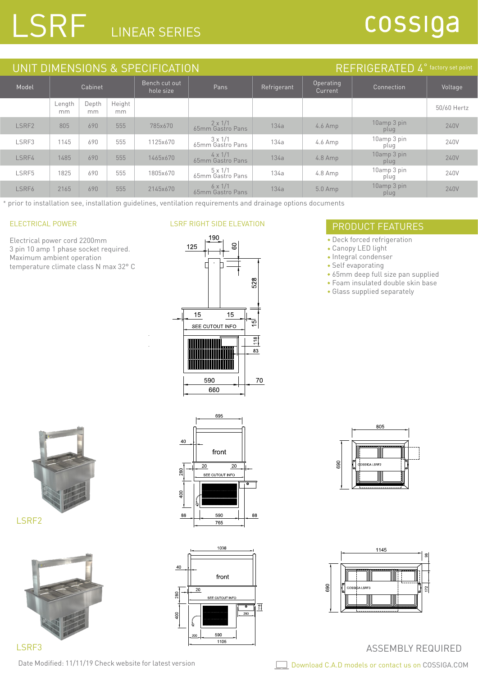# LSRF LINEAR SERIES

## cossiga

| UNIT DIMENSIONS & SPECIFICATION |              |             |                            |          |                                    |                      | REFRIGERATED 4 <sup>°</sup> factory set point |                     |             |
|---------------------------------|--------------|-------------|----------------------------|----------|------------------------------------|----------------------|-----------------------------------------------|---------------------|-------------|
| Model                           | Cabinet      |             | Bench cut out<br>hole size | Pans     | Refrigerant                        | Operating<br>Current | Connection                                    | Voltage             |             |
|                                 | Length<br>mm | Depth<br>mm | Height<br>mm               |          |                                    |                      |                                               |                     | 50/60 Hertz |
| LSRF2                           | 805          | 690         | 555                        | 785x670  | $2 \times 1/1$<br>65mm Gastro Pans | 134a                 | $4.6$ Amp                                     | 10amp 3 pin<br>plug | 240V        |
| LSRF3                           | 1145         | 690         | 555                        | 1125x670 | $3 \times 1/1$<br>65mm Gastro Pans | 134a                 | $4.6$ Amp                                     | 10amp 3 pin<br>plug | 240V        |
| LSRF4                           | 1485         | 690         | 555                        | 1465x670 | $4 \times 1/1$<br>65mm Gastro Pans | 134a                 | $4.8$ Amp                                     | 10amp 3 pin<br>plug | 240V        |
| LSRF5                           | 1825         | 690         | 555                        | 1805x670 | $5 \times 1/1$<br>65mm Gastro Pans | 134a                 | $4.8$ Amp                                     | 10amp 3 pin<br>plug | 240V        |
| LSRF6                           | 2165         | 690         | 555                        | 2145x670 | $6 \times 1/1$<br>65mm Gastro Pans | 134a                 | $5.0$ Amp                                     | 10amp 3 pin<br>plug | 240V        |

\* prior to installation see, installation guidelines, ventilation requirements and drainage options documents

Electrical power cord 2200mm 3 pin 10 amp 1 phase socket required. Maximum ambient operation temperature climate class N max 32° C

#### LSRF RIGHT SIDE ELEVATION



### ELECTRICAL POWER **ELECTRICAL POWER** PRODUCT FEATURES

- Deck forced refrigeration
- Canopy LED light
- Integral condenser
- Self evaporating
- 65mm deep full size pan supplied
- Foam insulated double skin base
- Glass supplied separately



LSRF2



LSRF3

Date Modified: 11/11/19 Check website for latest version





 $\sqrt{ }$ 





#### ASSEMBLY REQUIRED